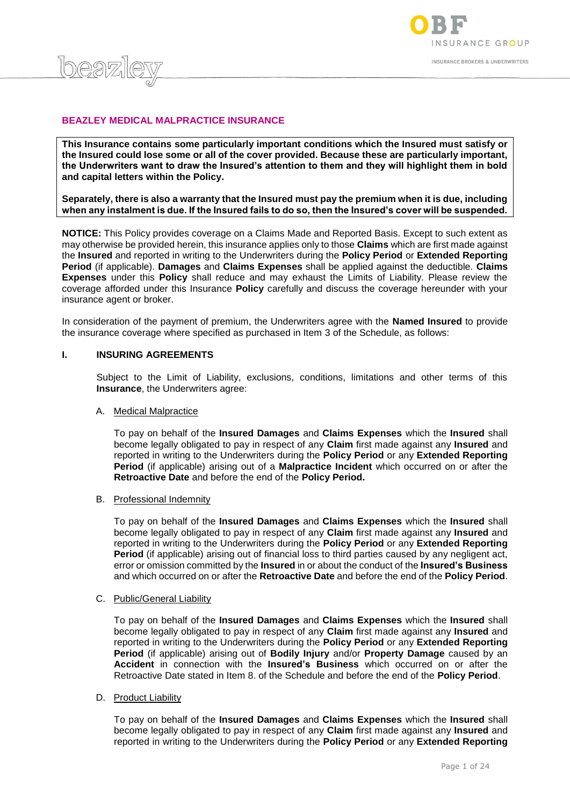

# **BEAZLEY MEDICAL MALPRACTICE INSURANCE**

 $log27$ 

**This Insurance contains some particularly important conditions which the Insured must satisfy or the Insured could lose some or all of the cover provided. Because these are particularly important, the Underwriters want to draw the Insured's attention to them and they will highlight them in bold and capital letters within the Policy.**

**Separately, there is also a warranty that the Insured must pay the premium when it is due, including when any instalment is due. If the Insured fails to do so, then the Insured's cover will be suspended.**

**NOTICE:** This Policy provides coverage on a Claims Made and Reported Basis. Except to such extent as may otherwise be provided herein, this insurance applies only to those **Claims** which are first made against the **Insured** and reported in writing to the Underwriters during the **Policy Period** or **Extended Reporting Period** (if applicable). **Damages** and **Claims Expenses** shall be applied against the deductible. **Claims Expenses** under this **Policy** shall reduce and may exhaust the Limits of Liability. Please review the coverage afforded under this Insurance **Policy** carefully and discuss the coverage hereunder with your insurance agent or broker.

In consideration of the payment of premium, the Underwriters agree with the **Named Insured** to provide the insurance coverage where specified as purchased in Item 3 of the Schedule, as follows:

#### **I. INSURING AGREEMENTS**

Subject to the Limit of Liability, exclusions, conditions, limitations and other terms of this **Insurance**, the Underwriters agree:

#### A. Medical Malpractice

To pay on behalf of the **Insured Damages** and **Claims Expenses** which the **Insured** shall become legally obligated to pay in respect of any **Claim** first made against any **Insured** and reported in writing to the Underwriters during the **Policy Period** or any **Extended Reporting Period** (if applicable) arising out of a **Malpractice Incident** which occurred on or after the **Retroactive Date** and before the end of the **Policy Period.**

#### B. Professional Indemnity

To pay on behalf of the **Insured Damages** and **Claims Expenses** which the **Insured** shall become legally obligated to pay in respect of any **Claim** first made against any **Insured** and reported in writing to the Underwriters during the **Policy Period** or any **Extended Reporting Period** (if applicable) arising out of financial loss to third parties caused by any negligent act, error or omission committed by the **Insured** in or about the conduct of the **Insured's Business** and which occurred on or after the **Retroactive Date** and before the end of the **Policy Period**.

#### C. Public/General Liability

To pay on behalf of the **Insured Damages** and **Claims Expenses** which the **Insured** shall become legally obligated to pay in respect of any **Claim** first made against any **Insured** and reported in writing to the Underwriters during the **Policy Period** or any **Extended Reporting Period** (if applicable) arising out of **Bodily Injury** and/or **Property Damage** caused by an **Accident** in connection with the **Insured's Business** which occurred on or after the Retroactive Date stated in Item 8. of the Schedule and before the end of the **Policy Period**.

#### D. Product Liability

To pay on behalf of the **Insured Damages** and **Claims Expenses** which the **Insured** shall become legally obligated to pay in respect of any **Claim** first made against any **Insured** and reported in writing to the Underwriters during the **Policy Period** or any **Extended Reporting**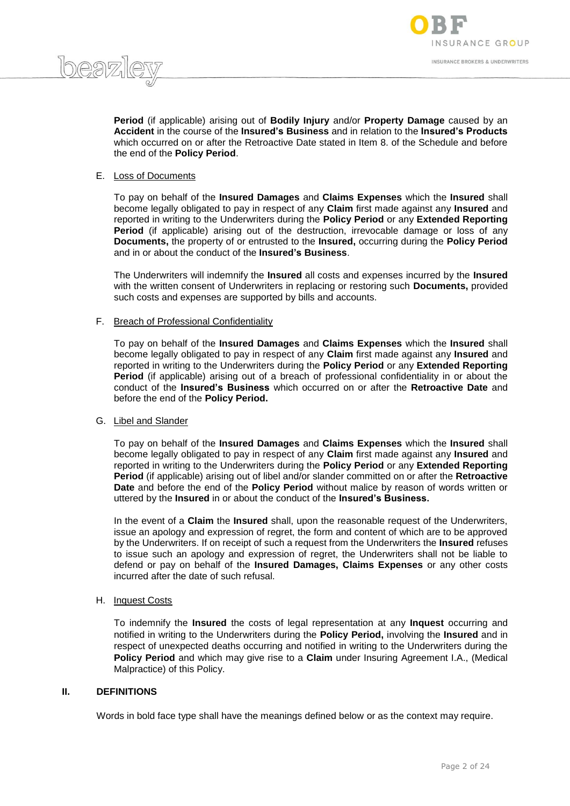



**Period** (if applicable) arising out of **Bodily Injury** and/or **Property Damage** caused by an **Accident** in the course of the **Insured's Business** and in relation to the **Insured's Products** which occurred on or after the Retroactive Date stated in Item 8. of the Schedule and before the end of the **Policy Period**.

# E. Loss of Documents

To pay on behalf of the **Insured Damages** and **Claims Expenses** which the **Insured** shall become legally obligated to pay in respect of any **Claim** first made against any **Insured** and reported in writing to the Underwriters during the **Policy Period** or any **Extended Reporting Period** (if applicable) arising out of the destruction, irrevocable damage or loss of any **Documents,** the property of or entrusted to the **Insured,** occurring during the **Policy Period**  and in or about the conduct of the **Insured's Business**.

The Underwriters will indemnify the **Insured** all costs and expenses incurred by the **Insured**  with the written consent of Underwriters in replacing or restoring such **Documents,** provided such costs and expenses are supported by bills and accounts.

#### F. Breach of Professional Confidentiality

To pay on behalf of the **Insured Damages** and **Claims Expenses** which the **Insured** shall become legally obligated to pay in respect of any **Claim** first made against any **Insured** and reported in writing to the Underwriters during the **Policy Period** or any **Extended Reporting Period** (if applicable) arising out of a breach of professional confidentiality in or about the conduct of the **Insured's Business** which occurred on or after the **Retroactive Date** and before the end of the **Policy Period.**

#### G. Libel and Slander

To pay on behalf of the **Insured Damages** and **Claims Expenses** which the **Insured** shall become legally obligated to pay in respect of any **Claim** first made against any **Insured** and reported in writing to the Underwriters during the **Policy Period** or any **Extended Reporting Period** (if applicable) arising out of libel and/or slander committed on or after the **Retroactive Date** and before the end of the **Policy Period** without malice by reason of words written or uttered by the **Insured** in or about the conduct of the **Insured's Business.**

In the event of a **Claim** the **Insured** shall, upon the reasonable request of the Underwriters, issue an apology and expression of regret, the form and content of which are to be approved by the Underwriters. If on receipt of such a request from the Underwriters the **Insured** refuses to issue such an apology and expression of regret, the Underwriters shall not be liable to defend or pay on behalf of the **Insured Damages, Claims Expenses** or any other costs incurred after the date of such refusal.

# H. Inquest Costs

To indemnify the **Insured** the costs of legal representation at any **Inquest** occurring and notified in writing to the Underwriters during the **Policy Period,** involving the **Insured** and in respect of unexpected deaths occurring and notified in writing to the Underwriters during the **Policy Period** and which may give rise to a **Claim** under Insuring Agreement I.A., (Medical Malpractice) of this Policy.

# **II. DEFINITIONS**

Words in bold face type shall have the meanings defined below or as the context may require.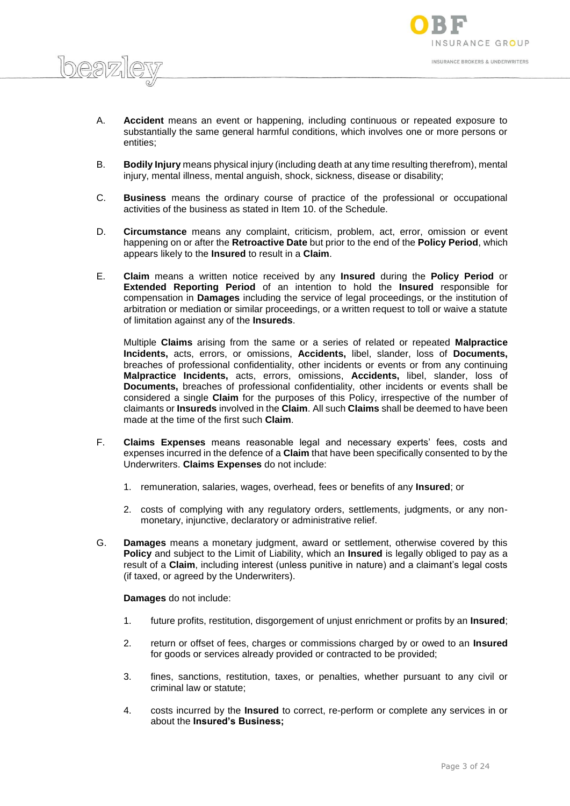

- A. **Accident** means an event or happening, including continuous or repeated exposure to substantially the same general harmful conditions, which involves one or more persons or entities;
- B. **Bodily Injury** means physical injury (including death at any time resulting therefrom), mental injury, mental illness, mental anguish, shock, sickness, disease or disability;
- C. **Business** means the ordinary course of practice of the professional or occupational activities of the business as stated in Item 10. of the Schedule.
- D. **Circumstance** means any complaint, criticism, problem, act, error, omission or event happening on or after the **Retroactive Date** but prior to the end of the **Policy Period**, which appears likely to the **Insured** to result in a **Claim**.
- E. **Claim** means a written notice received by any **Insured** during the **Policy Period** or **Extended Reporting Period** of an intention to hold the **Insured** responsible for compensation in **Damages** including the service of legal proceedings, or the institution of arbitration or mediation or similar proceedings, or a written request to toll or waive a statute of limitation against any of the **Insureds**.

Multiple **Claims** arising from the same or a series of related or repeated **Malpractice Incidents,** acts, errors, or omissions, **Accidents,** libel, slander, loss of **Documents,**  breaches of professional confidentiality, other incidents or events or from any continuing **Malpractice Incidents,** acts, errors, omissions, **Accidents,** libel, slander, loss of **Documents,** breaches of professional confidentiality, other incidents or events shall be considered a single **Claim** for the purposes of this Policy, irrespective of the number of claimants or **Insureds** involved in the **Claim**. All such **Claims** shall be deemed to have been made at the time of the first such **Claim**.

- F. **Claims Expenses** means reasonable legal and necessary experts' fees, costs and expenses incurred in the defence of a **Claim** that have been specifically consented to by the Underwriters. **Claims Expenses** do not include:
	- 1. remuneration, salaries, wages, overhead, fees or benefits of any **Insured**; or
	- 2. costs of complying with any regulatory orders, settlements, judgments, or any nonmonetary, injunctive, declaratory or administrative relief.
- G. **Damages** means a monetary judgment, award or settlement, otherwise covered by this **Policy** and subject to the Limit of Liability, which an **Insured** is legally obliged to pay as a result of a **Claim**, including interest (unless punitive in nature) and a claimant's legal costs (if taxed, or agreed by the Underwriters).

**Damages** do not include:

 $h$ eg $\nabla$ 

- 1. future profits, restitution, disgorgement of unjust enrichment or profits by an **Insured**;
- 2. return or offset of fees, charges or commissions charged by or owed to an **Insured**  for goods or services already provided or contracted to be provided;
- 3. fines, sanctions, restitution, taxes, or penalties, whether pursuant to any civil or criminal law or statute;
- 4. costs incurred by the **Insured** to correct, re-perform or complete any services in or about the **Insured's Business;**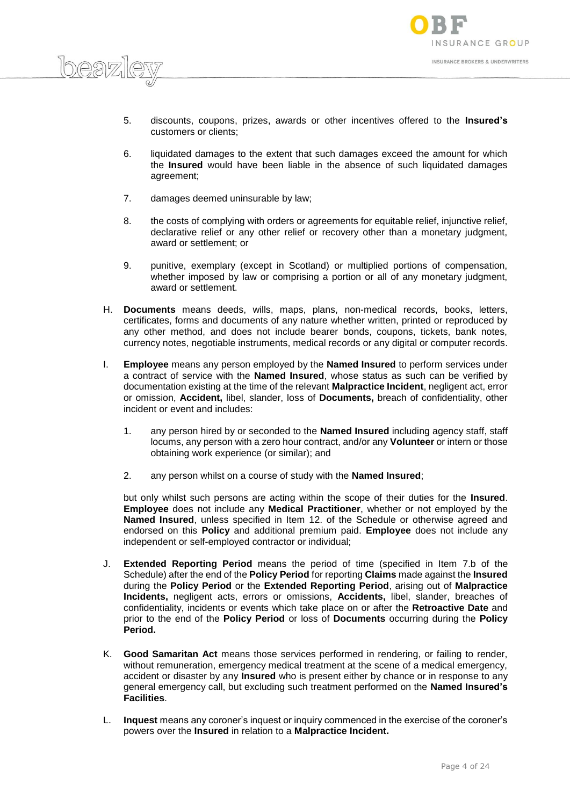

- 5. discounts, coupons, prizes, awards or other incentives offered to the **Insured's**  customers or clients;
- 6. liquidated damages to the extent that such damages exceed the amount for which the **Insured** would have been liable in the absence of such liquidated damages agreement;
- 7. damages deemed uninsurable by law;

beazi

- 8. the costs of complying with orders or agreements for equitable relief, injunctive relief, declarative relief or any other relief or recovery other than a monetary judgment, award or settlement; or
- 9. punitive, exemplary (except in Scotland) or multiplied portions of compensation, whether imposed by law or comprising a portion or all of any monetary judgment, award or settlement.
- H. **Documents** means deeds, wills, maps, plans, non-medical records, books, letters, certificates, forms and documents of any nature whether written, printed or reproduced by any other method, and does not include bearer bonds, coupons, tickets, bank notes, currency notes, negotiable instruments, medical records or any digital or computer records.
- I. **Employee** means any person employed by the **Named Insured** to perform services under a contract of service with the **Named Insured**, whose status as such can be verified by documentation existing at the time of the relevant **Malpractice Incident**, negligent act, error or omission, **Accident,** libel, slander, loss of **Documents,** breach of confidentiality, other incident or event and includes:
	- 1. any person hired by or seconded to the **Named Insured** including agency staff, staff locums, any person with a zero hour contract, and/or any **Volunteer** or intern or those obtaining work experience (or similar); and
	- 2. any person whilst on a course of study with the **Named Insured**;

but only whilst such persons are acting within the scope of their duties for the **Insured**. **Employee** does not include any **Medical Practitioner**, whether or not employed by the **Named Insured**, unless specified in Item 12. of the Schedule or otherwise agreed and endorsed on this **Policy** and additional premium paid. **Employee** does not include any independent or self-employed contractor or individual;

- J. **Extended Reporting Period** means the period of time (specified in Item 7.b of the Schedule) after the end of the **Policy Period** for reporting **Claims** made against the **Insured** during the **Policy Period** or the **Extended Reporting Period**, arising out of **Malpractice Incidents,** negligent acts, errors or omissions, **Accidents,** libel, slander, breaches of confidentiality, incidents or events which take place on or after the **Retroactive Date** and prior to the end of the **Policy Period** or loss of **Documents** occurring during the **Policy Period.**
- K. **Good Samaritan Act** means those services performed in rendering, or failing to render, without remuneration, emergency medical treatment at the scene of a medical emergency, accident or disaster by any **Insured** who is present either by chance or in response to any general emergency call, but excluding such treatment performed on the **Named Insured's Facilities**.
- L. **Inquest** means any coroner's inquest or inquiry commenced in the exercise of the coroner's powers over the **Insured** in relation to a **Malpractice Incident.**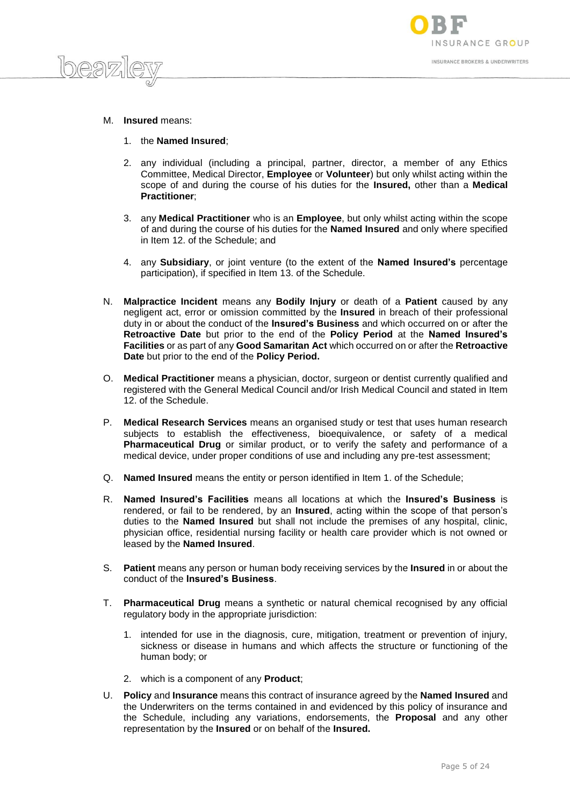

M. **Insured** means:

 $logp)$ 

- 1. the **Named Insured**;
- 2. any individual (including a principal, partner, director, a member of any Ethics Committee, Medical Director, **Employee** or **Volunteer**) but only whilst acting within the scope of and during the course of his duties for the **Insured,** other than a **Medical Practitioner**;
- 3. any **Medical Practitioner** who is an **Employee**, but only whilst acting within the scope of and during the course of his duties for the **Named Insured** and only where specified in Item 12. of the Schedule; and
- 4. any **Subsidiary**, or joint venture (to the extent of the **Named Insured's** percentage participation), if specified in Item 13. of the Schedule.
- N. **Malpractice Incident** means any **Bodily Injury** or death of a **Patient** caused by any negligent act, error or omission committed by the **Insured** in breach of their professional duty in or about the conduct of the **Insured's Business** and which occurred on or after the **Retroactive Date** but prior to the end of the **Policy Period** at the **Named Insured's Facilities** or as part of any **Good Samaritan Act** which occurred on or after the **Retroactive Date** but prior to the end of the **Policy Period.**
- O. **Medical Practitioner** means a physician, doctor, surgeon or dentist currently qualified and registered with the General Medical Council and/or Irish Medical Council and stated in Item 12. of the Schedule.
- P. **Medical Research Services** means an organised study or test that uses human research subjects to establish the effectiveness, bioequivalence, or safety of a medical **Pharmaceutical Drug** or similar product, or to verify the safety and performance of a medical device, under proper conditions of use and including any pre-test assessment;
- Q. **Named Insured** means the entity or person identified in Item 1. of the Schedule;
- R. **Named Insured's Facilities** means all locations at which the **Insured's Business** is rendered, or fail to be rendered, by an **Insured**, acting within the scope of that person's duties to the **Named Insured** but shall not include the premises of any hospital, clinic, physician office, residential nursing facility or health care provider which is not owned or leased by the **Named Insured**.
- S. **Patient** means any person or human body receiving services by the **Insured** in or about the conduct of the **Insured's Business**.
- T. **Pharmaceutical Drug** means a synthetic or natural chemical recognised by any official regulatory body in the appropriate jurisdiction:
	- 1. intended for use in the diagnosis, cure, mitigation, treatment or prevention of injury, sickness or disease in humans and which affects the structure or functioning of the human body; or
	- 2. which is a component of any **Product**;
- U. **Policy** and **Insurance** means this contract of insurance agreed by the **Named Insured** and the Underwriters on the terms contained in and evidenced by this policy of insurance and the Schedule, including any variations, endorsements, the **Proposal** and any other representation by the **Insured** or on behalf of the **Insured.**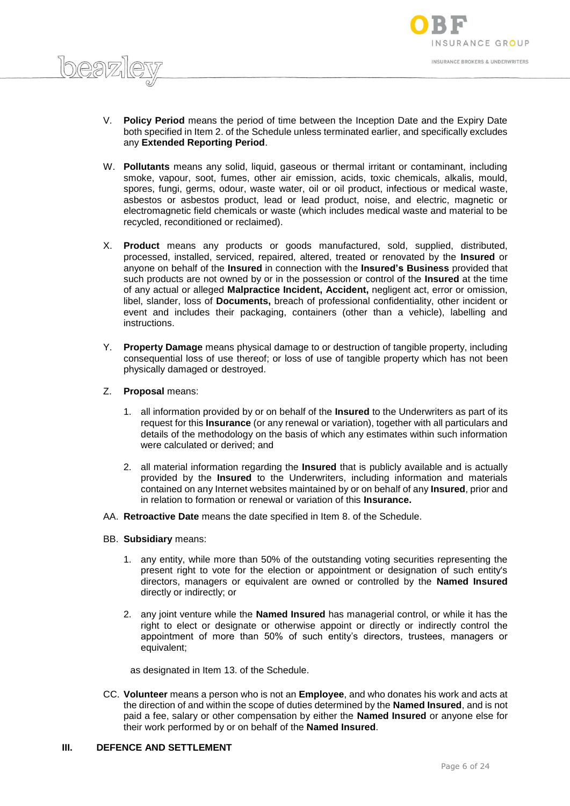

- V. **Policy Period** means the period of time between the Inception Date and the Expiry Date both specified in Item 2. of the Schedule unless terminated earlier, and specifically excludes any **Extended Reporting Period**.
- W. **Pollutants** means any solid, liquid, gaseous or thermal irritant or contaminant, including smoke, vapour, soot, fumes, other air emission, acids, toxic chemicals, alkalis, mould, spores, fungi, germs, odour, waste water, oil or oil product, infectious or medical waste, asbestos or asbestos product, lead or lead product, noise, and electric, magnetic or electromagnetic field chemicals or waste (which includes medical waste and material to be recycled, reconditioned or reclaimed).
- X. **Product** means any products or goods manufactured, sold, supplied, distributed, processed, installed, serviced, repaired, altered, treated or renovated by the **Insured** or anyone on behalf of the **Insured** in connection with the **Insured's Business** provided that such products are not owned by or in the possession or control of the **Insured** at the time of any actual or alleged **Malpractice Incident, Accident,** negligent act, error or omission, libel, slander, loss of **Documents,** breach of professional confidentiality, other incident or event and includes their packaging, containers (other than a vehicle), labelling and instructions.
- Y. **Property Damage** means physical damage to or destruction of tangible property, including consequential loss of use thereof; or loss of use of tangible property which has not been physically damaged or destroyed.
- Z. **Proposal** means:

 $h$ eaz

- 1. all information provided by or on behalf of the **Insured** to the Underwriters as part of its request for this **Insurance** (or any renewal or variation), together with all particulars and details of the methodology on the basis of which any estimates within such information were calculated or derived; and
- 2. all material information regarding the **Insured** that is publicly available and is actually provided by the **Insured** to the Underwriters, including information and materials contained on any Internet websites maintained by or on behalf of any **Insured**, prior and in relation to formation or renewal or variation of this **Insurance.**
- AA. **Retroactive Date** means the date specified in Item 8. of the Schedule.
- BB. **Subsidiary** means:
	- 1. any entity, while more than 50% of the outstanding voting securities representing the present right to vote for the election or appointment or designation of such entity's directors, managers or equivalent are owned or controlled by the **Named Insured**  directly or indirectly; or
	- 2. any joint venture while the **Named Insured** has managerial control, or while it has the right to elect or designate or otherwise appoint or directly or indirectly control the appointment of more than 50% of such entity's directors, trustees, managers or equivalent;

as designated in Item 13. of the Schedule.

CC. **Volunteer** means a person who is not an **Employee**, and who donates his work and acts at the direction of and within the scope of duties determined by the **Named Insured**, and is not paid a fee, salary or other compensation by either the **Named Insured** or anyone else for their work performed by or on behalf of the **Named Insured**.

#### **III. DEFENCE AND SETTLEMENT**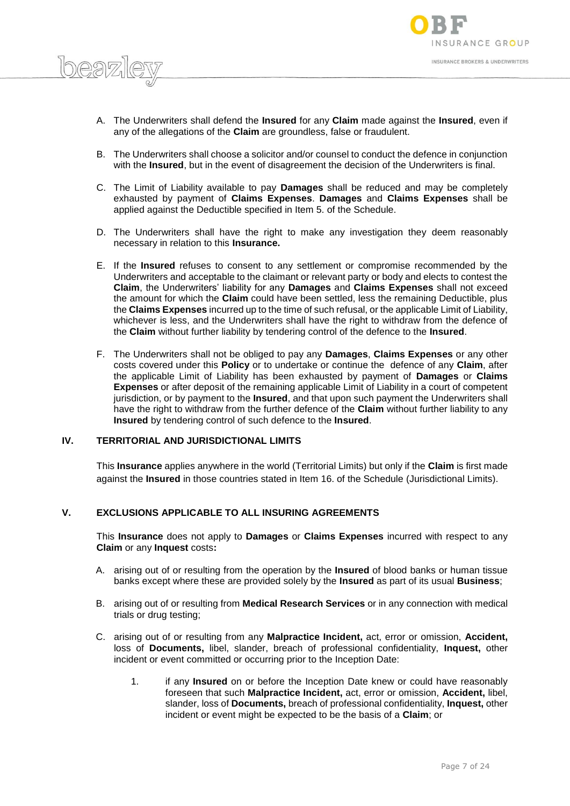

- A. The Underwriters shall defend the **Insured** for any **Claim** made against the **Insured**, even if any of the allegations of the **Claim** are groundless, false or fraudulent.
- B. The Underwriters shall choose a solicitor and/or counsel to conduct the defence in conjunction with the **Insured**, but in the event of disagreement the decision of the Underwriters is final.
- C. The Limit of Liability available to pay **Damages** shall be reduced and may be completely exhausted by payment of **Claims Expenses**. **Damages** and **Claims Expenses** shall be applied against the Deductible specified in Item 5. of the Schedule.
- D. The Underwriters shall have the right to make any investigation they deem reasonably necessary in relation to this **Insurance.**
- E. If the **Insured** refuses to consent to any settlement or compromise recommended by the Underwriters and acceptable to the claimant or relevant party or body and elects to contest the **Claim**, the Underwriters' liability for any **Damages** and **Claims Expenses** shall not exceed the amount for which the **Claim** could have been settled, less the remaining Deductible, plus the **Claims Expenses** incurred up to the time of such refusal, or the applicable Limit of Liability, whichever is less, and the Underwriters shall have the right to withdraw from the defence of the **Claim** without further liability by tendering control of the defence to the **Insured**.
- F. The Underwriters shall not be obliged to pay any **Damages**, **Claims Expenses** or any other costs covered under this **Policy** or to undertake or continue the defence of any **Claim**, after the applicable Limit of Liability has been exhausted by payment of **Damages** or **Claims Expenses** or after deposit of the remaining applicable Limit of Liability in a court of competent jurisdiction, or by payment to the **Insured**, and that upon such payment the Underwriters shall have the right to withdraw from the further defence of the **Claim** without further liability to any **Insured** by tendering control of such defence to the **Insured**.

#### **IV. TERRITORIAL AND JURISDICTIONAL LIMITS**

 $log27$ 

This **Insurance** applies anywhere in the world (Territorial Limits) but only if the **Claim** is first made against the **Insured** in those countries stated in Item 16. of the Schedule (Jurisdictional Limits).

## **V. EXCLUSIONS APPLICABLE TO ALL INSURING AGREEMENTS**

This **Insurance** does not apply to **Damages** or **Claims Expenses** incurred with respect to any **Claim** or any **Inquest** costs**:**

- A. arising out of or resulting from the operation by the **Insured** of blood banks or human tissue banks except where these are provided solely by the **Insured** as part of its usual **Business**;
- B. arising out of or resulting from **Medical Research Services** or in any connection with medical trials or drug testing;
- C. arising out of or resulting from any **Malpractice Incident,** act, error or omission, **Accident,**  loss of **Documents,** libel, slander, breach of professional confidentiality, **Inquest,** other incident or event committed or occurring prior to the Inception Date:
	- 1. if any **Insured** on or before the Inception Date knew or could have reasonably foreseen that such **Malpractice Incident,** act, error or omission, **Accident,** libel, slander, loss of **Documents,** breach of professional confidentiality, **Inquest,** other incident or event might be expected to be the basis of a **Claim**; or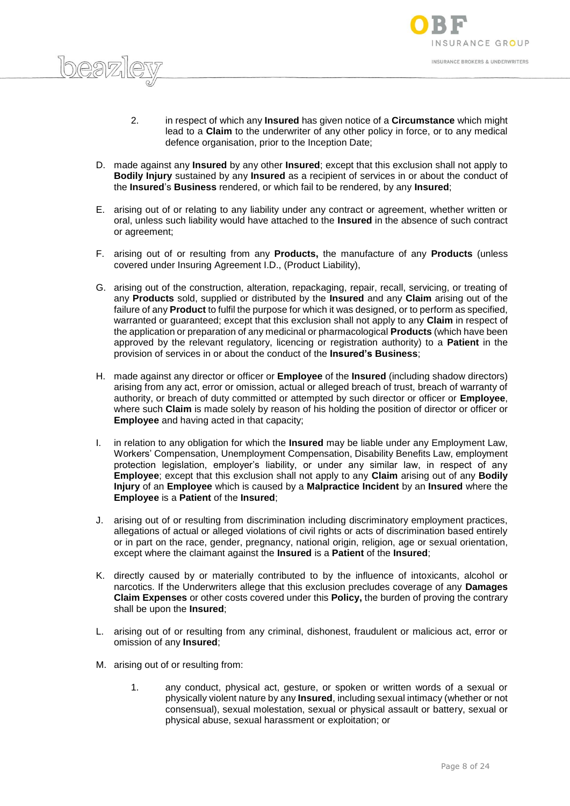

- 2. in respect of which any **Insured** has given notice of a **Circumstance** which might lead to a **Claim** to the underwriter of any other policy in force, or to any medical defence organisation, prior to the Inception Date;
- D. made against any **Insured** by any other **Insured**; except that this exclusion shall not apply to **Bodily Injury** sustained by any **Insured** as a recipient of services in or about the conduct of the **Insured**'s **Business** rendered, or which fail to be rendered, by any **Insured**;
- E. arising out of or relating to any liability under any contract or agreement, whether written or oral, unless such liability would have attached to the **Insured** in the absence of such contract or agreement;
- F. arising out of or resulting from any **Products,** the manufacture of any **Products** (unless covered under Insuring Agreement I.D., (Product Liability),
- G. arising out of the construction, alteration, repackaging, repair, recall, servicing, or treating of any **Products** sold, supplied or distributed by the **Insured** and any **Claim** arising out of the failure of any **Product** to fulfil the purpose for which it was designed, or to perform as specified, warranted or guaranteed; except that this exclusion shall not apply to any **Claim** in respect of the application or preparation of any medicinal or pharmacological **Products** (which have been approved by the relevant regulatory, licencing or registration authority) to a **Patient** in the provision of services in or about the conduct of the **Insured's Business**;
- H. made against any director or officer or **Employee** of the **Insured** (including shadow directors) arising from any act, error or omission, actual or alleged breach of trust, breach of warranty of authority, or breach of duty committed or attempted by such director or officer or **Employee**, where such **Claim** is made solely by reason of his holding the position of director or officer or **Employee** and having acted in that capacity;
- I. in relation to any obligation for which the **Insured** may be liable under any Employment Law, Workers' Compensation, Unemployment Compensation, Disability Benefits Law, employment protection legislation, employer's liability, or under any similar law, in respect of any **Employee**; except that this exclusion shall not apply to any **Claim** arising out of any **Bodily Injury** of an **Employee** which is caused by a **Malpractice Incident** by an **Insured** where the **Employee** is a **Patient** of the **Insured**;
- J. arising out of or resulting from discrimination including discriminatory employment practices, allegations of actual or alleged violations of civil rights or acts of discrimination based entirely or in part on the race, gender, pregnancy, national origin, religion, age or sexual orientation, except where the claimant against the **Insured** is a **Patient** of the **Insured**;
- K. directly caused by or materially contributed to by the influence of intoxicants, alcohol or narcotics. If the Underwriters allege that this exclusion precludes coverage of any **Damages Claim Expenses** or other costs covered under this **Policy,** the burden of proving the contrary shall be upon the **Insured**;
- L. arising out of or resulting from any criminal, dishonest, fraudulent or malicious act, error or omission of any **Insured**;
- M. arising out of or resulting from:

 $D \Omega \nabla$ 

1. any conduct, physical act, gesture, or spoken or written words of a sexual or physically violent nature by any **Insured**, including sexual intimacy (whether or not consensual), sexual molestation, sexual or physical assault or battery, sexual or physical abuse, sexual harassment or exploitation; or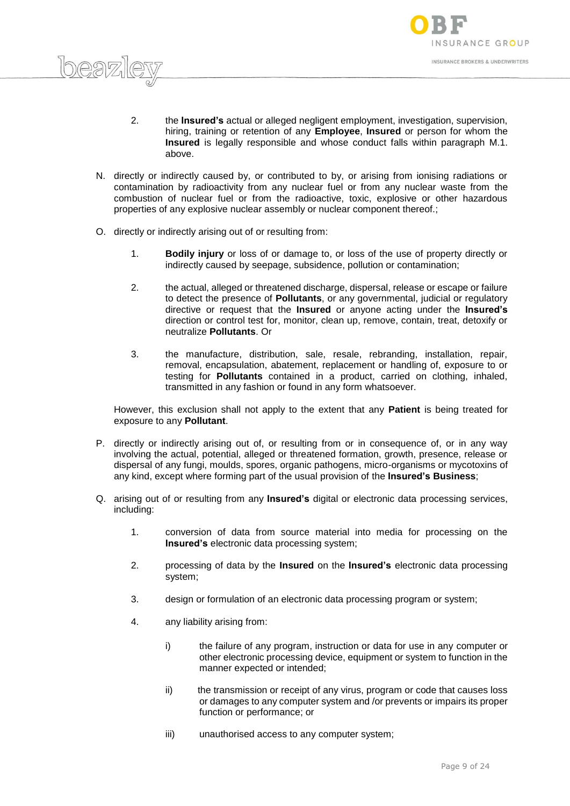

- 2. the **Insured's** actual or alleged negligent employment, investigation, supervision, hiring, training or retention of any **Employee**, **Insured** or person for whom the **Insured** is legally responsible and whose conduct falls within paragraph M.1. above.
- N. directly or indirectly caused by, or contributed to by, or arising from ionising radiations or contamination by radioactivity from any nuclear fuel or from any nuclear waste from the combustion of nuclear fuel or from the radioactive, toxic, explosive or other hazardous properties of any explosive nuclear assembly or nuclear component thereof.;
- O. directly or indirectly arising out of or resulting from:

 $logn$ 

- 1. **Bodily injury** or loss of or damage to, or loss of the use of property directly or indirectly caused by seepage, subsidence, pollution or contamination;
- 2. the actual, alleged or threatened discharge, dispersal, release or escape or failure to detect the presence of **Pollutants**, or any governmental, judicial or regulatory directive or request that the **Insured** or anyone acting under the **Insured's**  direction or control test for, monitor, clean up, remove, contain, treat, detoxify or neutralize **Pollutants**. Or
- 3. the manufacture, distribution, sale, resale, rebranding, installation, repair, removal, encapsulation, abatement, replacement or handling of, exposure to or testing for **Pollutants** contained in a product, carried on clothing, inhaled, transmitted in any fashion or found in any form whatsoever.

However, this exclusion shall not apply to the extent that any **Patient** is being treated for exposure to any **Pollutant**.

- P. directly or indirectly arising out of, or resulting from or in consequence of, or in any way involving the actual, potential, alleged or threatened formation, growth, presence, release or dispersal of any fungi, moulds, spores, organic pathogens, micro-organisms or mycotoxins of any kind, except where forming part of the usual provision of the **Insured's Business**;
- Q. arising out of or resulting from any **Insured's** digital or electronic data processing services, including:
	- 1. conversion of data from source material into media for processing on the **Insured's** electronic data processing system;
	- 2. processing of data by the **Insured** on the **Insured's** electronic data processing system;
	- 3. design or formulation of an electronic data processing program or system;
	- 4. any liability arising from:
		- i) the failure of any program, instruction or data for use in any computer or other electronic processing device, equipment or system to function in the manner expected or intended;
		- ii) the transmission or receipt of any virus, program or code that causes loss or damages to any computer system and /or prevents or impairs its proper function or performance; or
		- iii) unauthorised access to any computer system;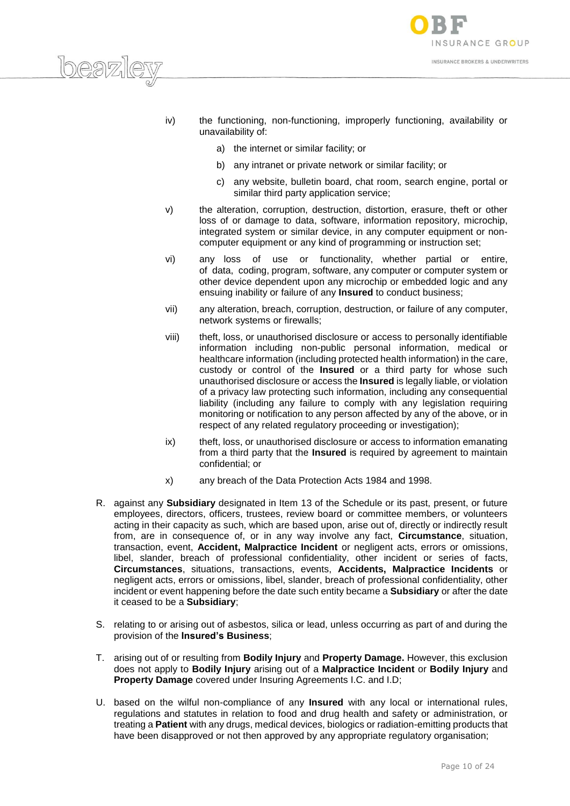

- iv) the functioning, non-functioning, improperly functioning, availability or unavailability of:
	- a) the internet or similar facility; or

 $\log 2$ 

- b) any intranet or private network or similar facility; or
- c) any website, bulletin board, chat room, search engine, portal or similar third party application service;
- v) the alteration, corruption, destruction, distortion, erasure, theft or other loss of or damage to data, software, information repository, microchip, integrated system or similar device, in any computer equipment or noncomputer equipment or any kind of programming or instruction set;
- vi) any loss of use or functionality, whether partial or entire, of data, coding, program, software, any computer or computer system or other device dependent upon any microchip or embedded logic and any ensuing inability or failure of any **Insured** to conduct business;
- vii) any alteration, breach, corruption, destruction, or failure of any computer, network systems or firewalls;
- viii) theft, loss, or unauthorised disclosure or access to personally identifiable information including non-public personal information, medical or healthcare information (including protected health information) in the care, custody or control of the **Insured** or a third party for whose such unauthorised disclosure or access the **Insured** is legally liable, or violation of a privacy law protecting such information, including any consequential liability (including any failure to comply with any legislation requiring monitoring or notification to any person affected by any of the above, or in respect of any related regulatory proceeding or investigation);
- ix) theft, loss, or unauthorised disclosure or access to information emanating from a third party that the **Insured** is required by agreement to maintain confidential; or
- x) any breach of the Data Protection Acts 1984 and 1998.
- R. against any **Subsidiary** designated in Item 13 of the Schedule or its past, present, or future employees, directors, officers, trustees, review board or committee members, or volunteers acting in their capacity as such, which are based upon, arise out of, directly or indirectly result from, are in consequence of, or in any way involve any fact, **Circumstance**, situation, transaction, event, **Accident, Malpractice Incident** or negligent acts, errors or omissions, libel, slander, breach of professional confidentiality, other incident or series of facts, **Circumstances**, situations, transactions, events, **Accidents, Malpractice Incidents** or negligent acts, errors or omissions, libel, slander, breach of professional confidentiality, other incident or event happening before the date such entity became a **Subsidiary** or after the date it ceased to be a **Subsidiary**;
- S. relating to or arising out of asbestos, silica or lead, unless occurring as part of and during the provision of the **Insured's Business**;
- T. arising out of or resulting from **Bodily Injury** and **Property Damage.** However, this exclusion does not apply to **Bodily Injury** arising out of a **Malpractice Incident** or **Bodily Injury** and **Property Damage** covered under Insuring Agreements I.C. and I.D;
- U. based on the wilful non-compliance of any **Insured** with any local or international rules, regulations and statutes in relation to food and drug health and safety or administration, or treating a **Patient** with any drugs, medical devices, biologics or radiation-emitting products that have been disapproved or not then approved by any appropriate regulatory organisation;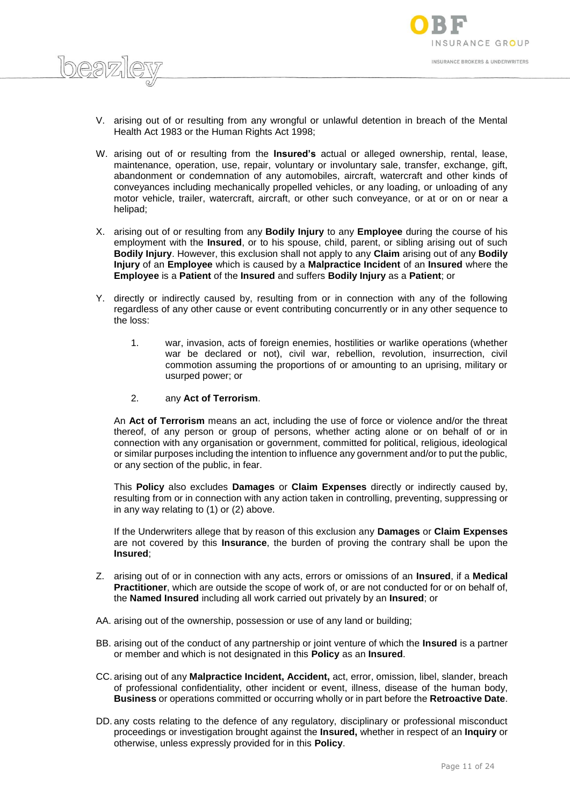

- V. arising out of or resulting from any wrongful or unlawful detention in breach of the Mental Health Act 1983 or the Human Rights Act 1998;
- W. arising out of or resulting from the **Insured's** actual or alleged ownership, rental, lease, maintenance, operation, use, repair, voluntary or involuntary sale, transfer, exchange, gift, abandonment or condemnation of any automobiles, aircraft, watercraft and other kinds of conveyances including mechanically propelled vehicles, or any loading, or unloading of any motor vehicle, trailer, watercraft, aircraft, or other such conveyance, or at or on or near a helipad;
- X. arising out of or resulting from any **Bodily Injury** to any **Employee** during the course of his employment with the **Insured**, or to his spouse, child, parent, or sibling arising out of such **Bodily Injury**. However, this exclusion shall not apply to any **Claim** arising out of any **Bodily Injury** of an **Employee** which is caused by a **Malpractice Incident** of an **Insured** where the **Employee** is a **Patient** of the **Insured** and suffers **Bodily Injury** as a **Patient**; or
- Y. directly or indirectly caused by, resulting from or in connection with any of the following regardless of any other cause or event contributing concurrently or in any other sequence to the loss:
	- 1. war, invasion, acts of foreign enemies, hostilities or warlike operations (whether war be declared or not), civil war, rebellion, revolution, insurrection, civil commotion assuming the proportions of or amounting to an uprising, military or usurped power; or
	- 2. any **Act of Terrorism**.

An **Act of Terrorism** means an act, including the use of force or violence and/or the threat thereof, of any person or group of persons, whether acting alone or on behalf of or in connection with any organisation or government, committed for political, religious, ideological or similar purposes including the intention to influence any government and/or to put the public, or any section of the public, in fear.

This **Policy** also excludes **Damages** or **Claim Expenses** directly or indirectly caused by, resulting from or in connection with any action taken in controlling, preventing, suppressing or in any way relating to (1) or (2) above.

If the Underwriters allege that by reason of this exclusion any **Damages** or **Claim Expenses** are not covered by this **Insurance**, the burden of proving the contrary shall be upon the **Insured**;

- Z. arising out of or in connection with any acts, errors or omissions of an **Insured**, if a **Medical Practitioner**, which are outside the scope of work of, or are not conducted for or on behalf of, the **Named Insured** including all work carried out privately by an **Insured**; or
- AA. arising out of the ownership, possession or use of any land or building;
- BB. arising out of the conduct of any partnership or joint venture of which the **Insured** is a partner or member and which is not designated in this **Policy** as an **Insured**.
- CC. arising out of any **Malpractice Incident, Accident,** act, error, omission, libel, slander, breach of professional confidentiality, other incident or event, illness, disease of the human body, **Business** or operations committed or occurring wholly or in part before the **Retroactive Date**.
- DD. any costs relating to the defence of any regulatory, disciplinary or professional misconduct proceedings or investigation brought against the **Insured,** whether in respect of an **Inquiry** or otherwise, unless expressly provided for in this **Policy**.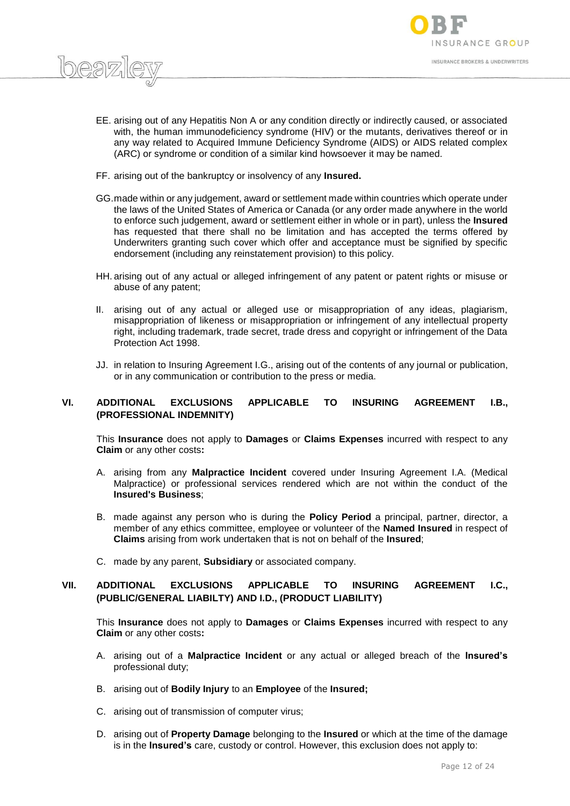

- EE. arising out of any Hepatitis Non A or any condition directly or indirectly caused, or associated with, the human immunodeficiency syndrome (HIV) or the mutants, derivatives thereof or in any way related to Acquired Immune Deficiency Syndrome (AIDS) or AIDS related complex (ARC) or syndrome or condition of a similar kind howsoever it may be named.
- FF. arising out of the bankruptcy or insolvency of any **Insured.**

 $log27$ 

- GG.made within or any judgement, award or settlement made within countries which operate under the laws of the United States of America or Canada (or any order made anywhere in the world to enforce such judgement, award or settlement either in whole or in part), unless the **Insured**  has requested that there shall no be limitation and has accepted the terms offered by Underwriters granting such cover which offer and acceptance must be signified by specific endorsement (including any reinstatement provision) to this policy.
- HH. arising out of any actual or alleged infringement of any patent or patent rights or misuse or abuse of any patent;
- II. arising out of any actual or alleged use or misappropriation of any ideas, plagiarism, misappropriation of likeness or misappropriation or infringement of any intellectual property right, including trademark, trade secret, trade dress and copyright or infringement of the Data Protection Act 1998.
- JJ. in relation to Insuring Agreement I.G., arising out of the contents of any journal or publication, or in any communication or contribution to the press or media.

# **VI. ADDITIONAL EXCLUSIONS APPLICABLE TO INSURING AGREEMENT I.B., (PROFESSIONAL INDEMNITY)**

This **Insurance** does not apply to **Damages** or **Claims Expenses** incurred with respect to any **Claim** or any other costs**:**

- A. arising from any **Malpractice Incident** covered under Insuring Agreement I.A. (Medical Malpractice) or professional services rendered which are not within the conduct of the **Insured's Business**;
- B. made against any person who is during the **Policy Period** a principal, partner, director, a member of any ethics committee, employee or volunteer of the **Named Insured** in respect of **Claims** arising from work undertaken that is not on behalf of the **Insured**;
- C. made by any parent, **Subsidiary** or associated company.

# **VII. ADDITIONAL EXCLUSIONS APPLICABLE TO INSURING AGREEMENT I.C., (PUBLIC/GENERAL LIABILTY) AND I.D., (PRODUCT LIABILITY)**

This **Insurance** does not apply to **Damages** or **Claims Expenses** incurred with respect to any **Claim** or any other costs**:**

- A. arising out of a **Malpractice Incident** or any actual or alleged breach of the **Insured's**  professional duty;
- B. arising out of **Bodily Injury** to an **Employee** of the **Insured;**
- C. arising out of transmission of computer virus;
- D. arising out of **Property Damage** belonging to the **Insured** or which at the time of the damage is in the **Insured's** care, custody or control. However, this exclusion does not apply to: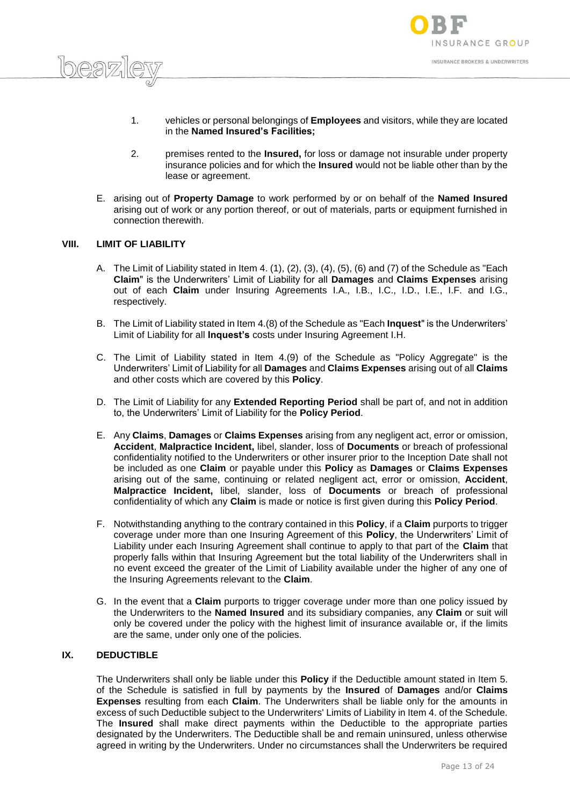

- 1. vehicles or personal belongings of **Employees** and visitors, while they are located in the **Named Insured's Facilities;**
- 2. premises rented to the **Insured,** for loss or damage not insurable under property insurance policies and for which the **Insured** would not be liable other than by the lease or agreement.
- E. arising out of **Property Damage** to work performed by or on behalf of the **Named Insured**  arising out of work or any portion thereof, or out of materials, parts or equipment furnished in connection therewith.

#### **VIII. LIMIT OF LIABILITY**

 $h$ eaz

- A. The Limit of Liability stated in Item 4.  $(1)$ ,  $(2)$ ,  $(3)$ ,  $(4)$ ,  $(5)$ ,  $(6)$  and  $(7)$  of the Schedule as "Each **Claim**" is the Underwriters' Limit of Liability for all **Damages** and **Claims Expenses** arising out of each **Claim** under Insuring Agreements I.A., I.B., I.C., I.D., I.E., I.F. and I.G., respectively.
- B. The Limit of Liability stated in Item 4.(8) of the Schedule as "Each **Inquest**" is the Underwriters' Limit of Liability for all **Inquest's** costs under Insuring Agreement I.H.
- C. The Limit of Liability stated in Item 4.(9) of the Schedule as "Policy Aggregate" is the Underwriters' Limit of Liability for all **Damages** and **Claims Expenses** arising out of all **Claims** and other costs which are covered by this **Policy**.
- D. The Limit of Liability for any **Extended Reporting Period** shall be part of, and not in addition to, the Underwriters' Limit of Liability for the **Policy Period**.
- E. Any **Claims**, **Damages** or **Claims Expenses** arising from any negligent act, error or omission, **Accident**, **Malpractice Incident,** libel, slander, loss of **Documents** or breach of professional confidentiality notified to the Underwriters or other insurer prior to the Inception Date shall not be included as one **Claim** or payable under this **Policy** as **Damages** or **Claims Expenses** arising out of the same, continuing or related negligent act, error or omission, **Accident**, **Malpractice Incident,** libel, slander, loss of **Documents** or breach of professional confidentiality of which any **Claim** is made or notice is first given during this **Policy Period**.
- F. Notwithstanding anything to the contrary contained in this **Policy**, if a **Claim** purports to trigger coverage under more than one Insuring Agreement of this **Policy**, the Underwriters' Limit of Liability under each Insuring Agreement shall continue to apply to that part of the **Claim** that properly falls within that Insuring Agreement but the total liability of the Underwriters shall in no event exceed the greater of the Limit of Liability available under the higher of any one of the Insuring Agreements relevant to the **Claim**.
- G. In the event that a **Claim** purports to trigger coverage under more than one policy issued by the Underwriters to the **Named Insured** and its subsidiary companies, any **Claim** or suit will only be covered under the policy with the highest limit of insurance available or, if the limits are the same, under only one of the policies.

## **IX. DEDUCTIBLE**

The Underwriters shall only be liable under this **Policy** if the Deductible amount stated in Item 5. of the Schedule is satisfied in full by payments by the **Insured** of **Damages** and/or **Claims Expenses** resulting from each **Claim**. The Underwriters shall be liable only for the amounts in excess of such Deductible subject to the Underwriters' Limits of Liability in Item 4. of the Schedule. The **Insured** shall make direct payments within the Deductible to the appropriate parties designated by the Underwriters. The Deductible shall be and remain uninsured, unless otherwise agreed in writing by the Underwriters. Under no circumstances shall the Underwriters be required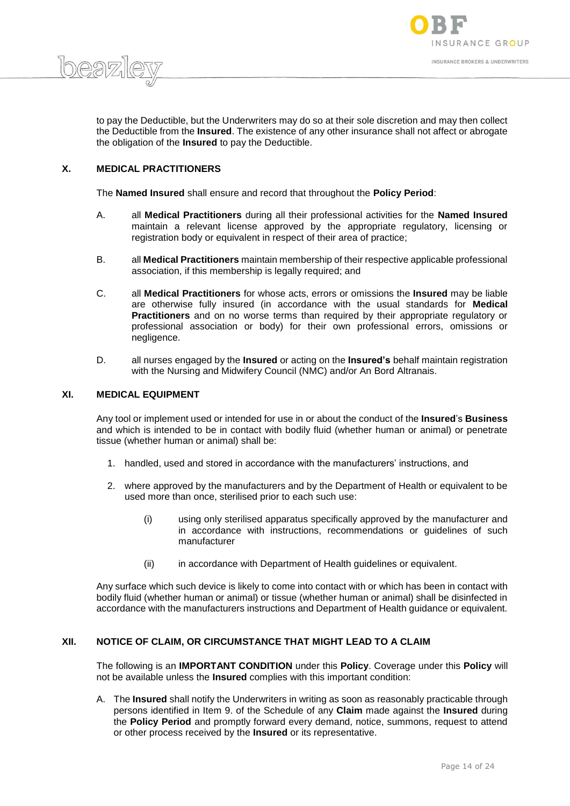

 $h$ eg $\nabla$ 

to pay the Deductible, but the Underwriters may do so at their sole discretion and may then collect the Deductible from the **Insured**. The existence of any other insurance shall not affect or abrogate the obligation of the **Insured** to pay the Deductible.

# **X. MEDICAL PRACTITIONERS**

The **Named Insured** shall ensure and record that throughout the **Policy Period**:

- A. all **Medical Practitioners** during all their professional activities for the **Named Insured**  maintain a relevant license approved by the appropriate regulatory, licensing or registration body or equivalent in respect of their area of practice;
- B. all **Medical Practitioners** maintain membership of their respective applicable professional association, if this membership is legally required; and
- C. all **Medical Practitioners** for whose acts, errors or omissions the **Insured** may be liable are otherwise fully insured (in accordance with the usual standards for **Medical Practitioners** and on no worse terms than required by their appropriate regulatory or professional association or body) for their own professional errors, omissions or negligence.
- D. all nurses engaged by the **Insured** or acting on the **Insured's** behalf maintain registration with the Nursing and Midwifery Council (NMC) and/or An Bord Altranais.

## **XI. MEDICAL EQUIPMENT**

Any tool or implement used or intended for use in or about the conduct of the **Insured**'s **Business** and which is intended to be in contact with bodily fluid (whether human or animal) or penetrate tissue (whether human or animal) shall be:

- 1. handled, used and stored in accordance with the manufacturers' instructions, and
- 2. where approved by the manufacturers and by the Department of Health or equivalent to be used more than once, sterilised prior to each such use:
	- (i) using only sterilised apparatus specifically approved by the manufacturer and in accordance with instructions, recommendations or guidelines of such manufacturer
	- (ii) in accordance with Department of Health guidelines or equivalent.

Any surface which such device is likely to come into contact with or which has been in contact with bodily fluid (whether human or animal) or tissue (whether human or animal) shall be disinfected in accordance with the manufacturers instructions and Department of Health guidance or equivalent.

#### **XII. NOTICE OF CLAIM, OR CIRCUMSTANCE THAT MIGHT LEAD TO A CLAIM**

The following is an **IMPORTANT CONDITION** under this **Policy**. Coverage under this **Policy** will not be available unless the **Insured** complies with this important condition:

A. The **Insured** shall notify the Underwriters in writing as soon as reasonably practicable through persons identified in Item 9. of the Schedule of any **Claim** made against the **Insured** during the **Policy Period** and promptly forward every demand, notice, summons, request to attend or other process received by the **Insured** or its representative.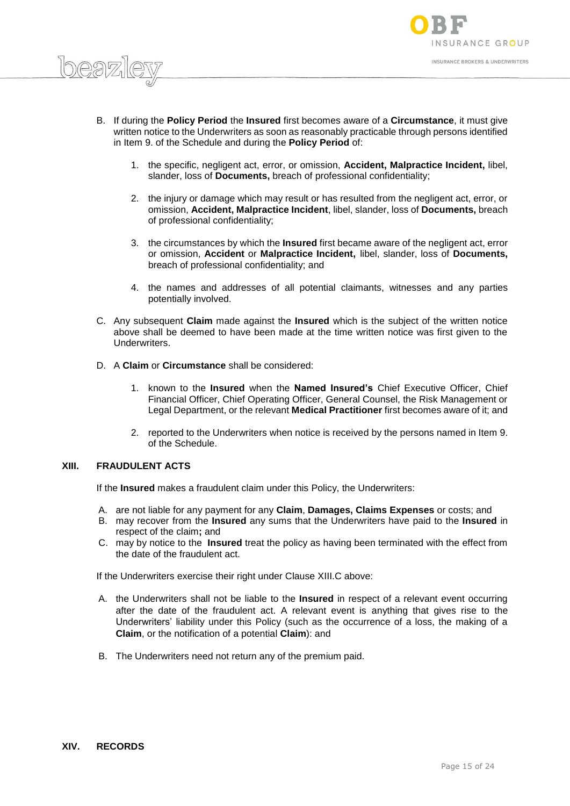

- B. If during the **Policy Period** the **Insured** first becomes aware of a **Circumstance**, it must give written notice to the Underwriters as soon as reasonably practicable through persons identified in Item 9. of the Schedule and during the **Policy Period** of:
	- 1. the specific, negligent act, error, or omission, **Accident, Malpractice Incident,** libel, slander, loss of **Documents,** breach of professional confidentiality;
	- 2. the injury or damage which may result or has resulted from the negligent act, error, or omission, **Accident, Malpractice Incident**, libel, slander, loss of **Documents,** breach of professional confidentiality;
	- 3. the circumstances by which the **Insured** first became aware of the negligent act, error or omission, **Accident** or **Malpractice Incident,** libel, slander, loss of **Documents,**  breach of professional confidentiality; and
	- 4. the names and addresses of all potential claimants, witnesses and any parties potentially involved.
- C. Any subsequent **Claim** made against the **Insured** which is the subject of the written notice above shall be deemed to have been made at the time written notice was first given to the **Underwriters**
- D. A **Claim** or **Circumstance** shall be considered:
	- 1. known to the **Insured** when the **Named Insured's** Chief Executive Officer, Chief Financial Officer, Chief Operating Officer, General Counsel, the Risk Management or Legal Department, or the relevant **Medical Practitioner** first becomes aware of it; and
	- 2. reported to the Underwriters when notice is received by the persons named in Item 9. of the Schedule.

# **XIII. FRAUDULENT ACTS**

 $h$ eaz

If the **Insured** makes a fraudulent claim under this Policy, the Underwriters:

- A. are not liable for any payment for any **Claim**, **Damages, Claims Expenses** or costs; and
- B. may recover from the **Insured** any sums that the Underwriters have paid to the **Insured** in respect of the claim**;** and
- C. may by notice to the **Insured** treat the policy as having been terminated with the effect from the date of the fraudulent act.

If the Underwriters exercise their right under Clause XIII.C above:

- A. the Underwriters shall not be liable to the **Insured** in respect of a relevant event occurring after the date of the fraudulent act. A relevant event is anything that gives rise to the Underwriters' liability under this Policy (such as the occurrence of a loss, the making of a **Claim**, or the notification of a potential **Claim**): and
- B. The Underwriters need not return any of the premium paid.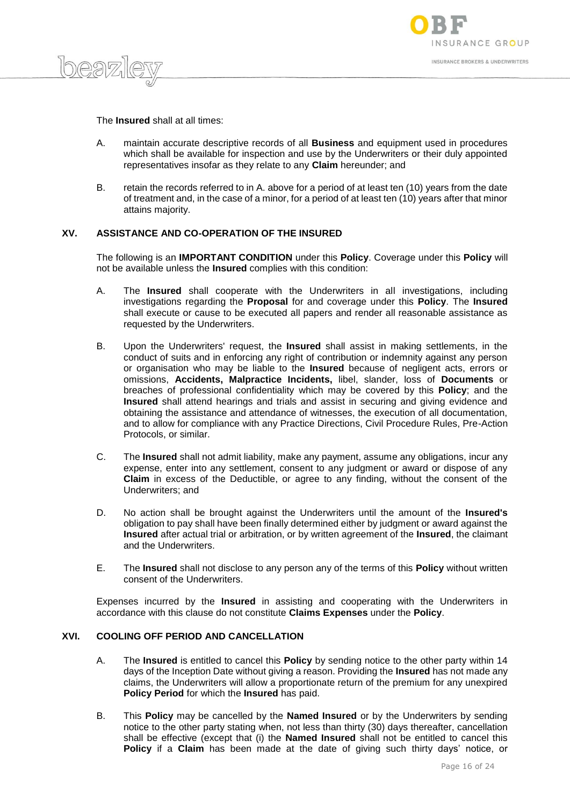



The **Insured** shall at all times:

- A. maintain accurate descriptive records of all **Business** and equipment used in procedures which shall be available for inspection and use by the Underwriters or their duly appointed representatives insofar as they relate to any **Claim** hereunder; and
- B. retain the records referred to in A. above for a period of at least ten (10) years from the date of treatment and, in the case of a minor, for a period of at least ten (10) years after that minor attains majority.

# **XV. ASSISTANCE AND CO-OPERATION OF THE INSURED**

The following is an **IMPORTANT CONDITION** under this **Policy**. Coverage under this **Policy** will not be available unless the **Insured** complies with this condition:

- A. The **Insured** shall cooperate with the Underwriters in all investigations, including investigations regarding the **Proposal** for and coverage under this **Policy**. The **Insured** shall execute or cause to be executed all papers and render all reasonable assistance as requested by the Underwriters.
- B. Upon the Underwriters' request, the **Insured** shall assist in making settlements, in the conduct of suits and in enforcing any right of contribution or indemnity against any person or organisation who may be liable to the **Insured** because of negligent acts, errors or omissions, **Accidents, Malpractice Incidents,** libel, slander, loss of **Documents** or breaches of professional confidentiality which may be covered by this **Policy**; and the **Insured** shall attend hearings and trials and assist in securing and giving evidence and obtaining the assistance and attendance of witnesses, the execution of all documentation, and to allow for compliance with any Practice Directions, Civil Procedure Rules, Pre-Action Protocols, or similar.
- C. The **Insured** shall not admit liability, make any payment, assume any obligations, incur any expense, enter into any settlement, consent to any judgment or award or dispose of any **Claim** in excess of the Deductible, or agree to any finding, without the consent of the Underwriters; and
- D. No action shall be brought against the Underwriters until the amount of the **Insured's** obligation to pay shall have been finally determined either by judgment or award against the **Insured** after actual trial or arbitration, or by written agreement of the **Insured**, the claimant and the Underwriters.
- E. The **Insured** shall not disclose to any person any of the terms of this **Policy** without written consent of the Underwriters.

Expenses incurred by the **Insured** in assisting and cooperating with the Underwriters in accordance with this clause do not constitute **Claims Expenses** under the **Policy**.

# **XVI. COOLING OFF PERIOD AND CANCELLATION**

- A. The **Insured** is entitled to cancel this **Policy** by sending notice to the other party within 14 days of the Inception Date without giving a reason. Providing the **Insured** has not made any claims, the Underwriters will allow a proportionate return of the premium for any unexpired **Policy Period** for which the **Insured** has paid.
- B. This **Policy** may be cancelled by the **Named Insured** or by the Underwriters by sending notice to the other party stating when, not less than thirty (30) days thereafter, cancellation shall be effective (except that (i) the **Named Insured** shall not be entitled to cancel this **Policy** if a **Claim** has been made at the date of giving such thirty days' notice, or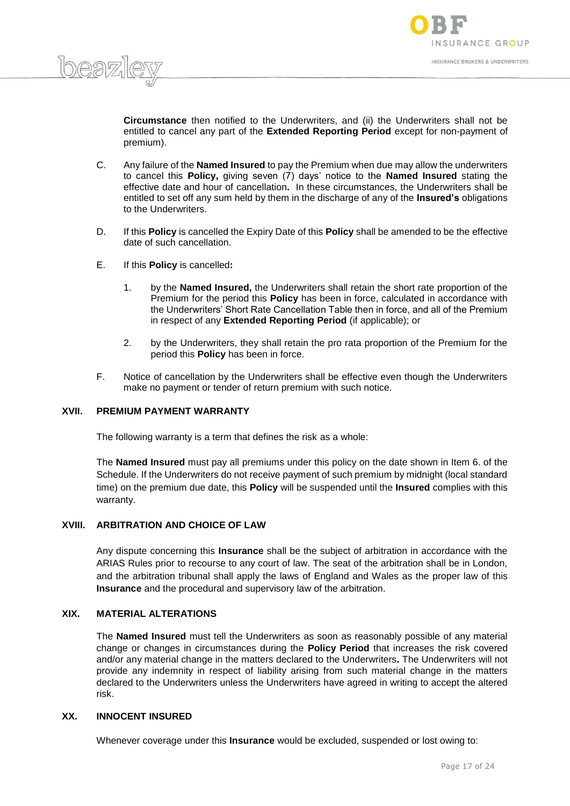

**Circumstance** then notified to the Underwriters, and (ii) the Underwriters shall not be entitled to cancel any part of the **Extended Reporting Period** except for non-payment of premium).

- C. Any failure of the **Named Insured** to pay the Premium when due may allow the underwriters to cancel this **Policy,** giving seven (7) days' notice to the **Named Insured** stating the effective date and hour of cancellation**.** In these circumstances, the Underwriters shall be entitled to set off any sum held by them in the discharge of any of the **Insured's** obligations to the Underwriters.
- D. If this **Policy** is cancelled the Expiry Date of this **Policy** shall be amended to be the effective date of such cancellation.
- E. If this **Policy** is cancelled**:**

 $h$ eaz

- 1. by the **Named Insured,** the Underwriters shall retain the short rate proportion of the Premium for the period this **Policy** has been in force, calculated in accordance with the Underwriters' Short Rate Cancellation Table then in force, and all of the Premium in respect of any **Extended Reporting Period** (if applicable); or
- 2. by the Underwriters, they shall retain the pro rata proportion of the Premium for the period this **Policy** has been in force.
- F. Notice of cancellation by the Underwriters shall be effective even though the Underwriters make no payment or tender of return premium with such notice.

#### **XVII. PREMIUM PAYMENT WARRANTY**

The following warranty is a term that defines the risk as a whole:

The **Named Insured** must pay all premiums under this policy on the date shown in Item 6. of the Schedule. If the Underwriters do not receive payment of such premium by midnight (local standard time) on the premium due date, this **Policy** will be suspended until the **Insured** complies with this warranty.

# **XVIII. ARBITRATION AND CHOICE OF LAW**

Any dispute concerning this **Insurance** shall be the subject of arbitration in accordance with the ARIAS Rules prior to recourse to any court of law. The seat of the arbitration shall be in London, and the arbitration tribunal shall apply the laws of England and Wales as the proper law of this **Insurance** and the procedural and supervisory law of the arbitration.

## **XIX. MATERIAL ALTERATIONS**

The **Named Insured** must tell the Underwriters as soon as reasonably possible of any material change or changes in circumstances during the **Policy Period** that increases the risk covered and/or any material change in the matters declared to the Underwriters**.** The Underwriters will not provide any indemnity in respect of liability arising from such material change in the matters declared to the Underwriters unless the Underwriters have agreed in writing to accept the altered risk.

#### **XX. INNOCENT INSURED**

Whenever coverage under this **Insurance** would be excluded, suspended or lost owing to: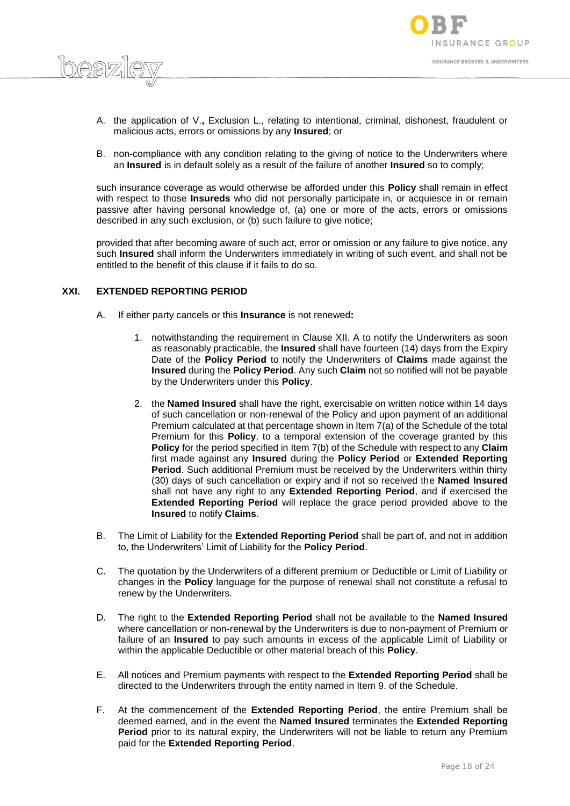



- A. the application of V.**,** Exclusion L., relating to intentional, criminal, dishonest, fraudulent or malicious acts, errors or omissions by any **Insured**; or
- B. non-compliance with any condition relating to the giving of notice to the Underwriters where an **Insured** is in default solely as a result of the failure of another **Insured** so to comply;

such insurance coverage as would otherwise be afforded under this **Policy** shall remain in effect with respect to those **Insureds** who did not personally participate in, or acquiesce in or remain passive after having personal knowledge of, (a) one or more of the acts, errors or omissions described in any such exclusion, or (b) such failure to give notice;

provided that after becoming aware of such act, error or omission or any failure to give notice, any such **Insured** shall inform the Underwriters immediately in writing of such event, and shall not be entitled to the benefit of this clause if it fails to do so.

# **XXI. EXTENDED REPORTING PERIOD**

- A. If either party cancels or this **Insurance** is not renewed**:**
	- 1. notwithstanding the requirement in Clause XII. A to notify the Underwriters as soon as reasonably practicable, the **Insured** shall have fourteen (14) days from the Expiry Date of the **Policy Period** to notify the Underwriters of **Claims** made against the **Insured** during the **Policy Period**. Any such **Claim** not so notified will not be payable by the Underwriters under this **Policy**.
	- 2. the **Named Insured** shall have the right, exercisable on written notice within 14 days of such cancellation or non-renewal of the Policy and upon payment of an additional Premium calculated at that percentage shown in Item 7(a) of the Schedule of the total Premium for this **Policy**, to a temporal extension of the coverage granted by this **Policy** for the period specified in Item 7(b) of the Schedule with respect to any **Claim** first made against any **Insured** during the **Policy Period** or **Extended Reporting Period**. Such additional Premium must be received by the Underwriters within thirty (30) days of such cancellation or expiry and if not so received the **Named Insured** shall not have any right to any **Extended Reporting Period**, and if exercised the **Extended Reporting Period** will replace the grace period provided above to the **Insured** to notify **Claims**.
- B. The Limit of Liability for the **Extended Reporting Period** shall be part of, and not in addition to, the Underwriters' Limit of Liability for the **Policy Period**.
- C. The quotation by the Underwriters of a different premium or Deductible or Limit of Liability or changes in the **Policy** language for the purpose of renewal shall not constitute a refusal to renew by the Underwriters.
- D. The right to the **Extended Reporting Period** shall not be available to the **Named Insured** where cancellation or non-renewal by the Underwriters is due to non-payment of Premium or failure of an **Insured** to pay such amounts in excess of the applicable Limit of Liability or within the applicable Deductible or other material breach of this **Policy**.
- E. All notices and Premium payments with respect to the **Extended Reporting Period** shall be directed to the Underwriters through the entity named in Item 9. of the Schedule.
- F. At the commencement of the **Extended Reporting Period**, the entire Premium shall be deemed earned, and in the event the **Named Insured** terminates the **Extended Reporting Period** prior to its natural expiry, the Underwriters will not be liable to return any Premium paid for the **Extended Reporting Period**.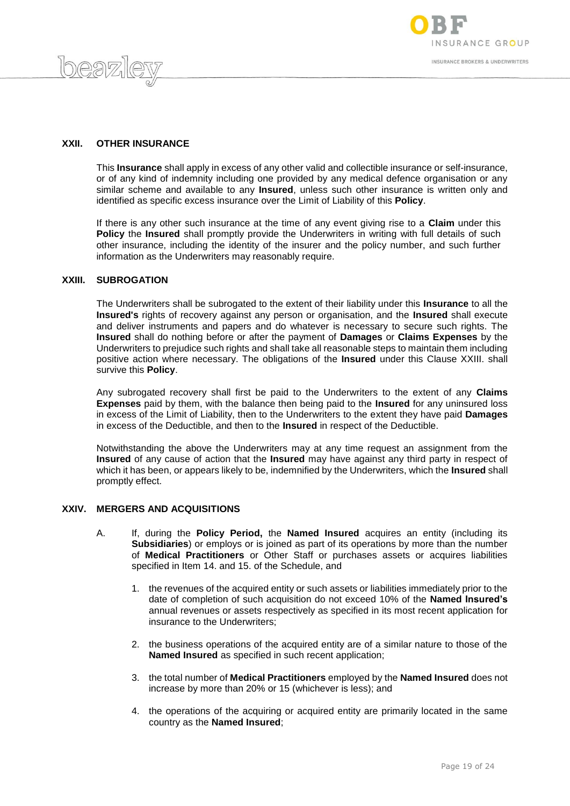



# **XXII. OTHER INSURANCE**

This **Insurance** shall apply in excess of any other valid and collectible insurance or self-insurance, or of any kind of indemnity including one provided by any medical defence organisation or any similar scheme and available to any **Insured**, unless such other insurance is written only and identified as specific excess insurance over the Limit of Liability of this **Policy**.

If there is any other such insurance at the time of any event giving rise to a **Claim** under this **Policy** the **Insured** shall promptly provide the Underwriters in writing with full details of such other insurance, including the identity of the insurer and the policy number, and such further information as the Underwriters may reasonably require.

## **XXIII. SUBROGATION**

The Underwriters shall be subrogated to the extent of their liability under this **Insurance** to all the **Insured's** rights of recovery against any person or organisation, and the **Insured** shall execute and deliver instruments and papers and do whatever is necessary to secure such rights. The **Insured** shall do nothing before or after the payment of **Damages** or **Claims Expenses** by the Underwriters to prejudice such rights and shall take all reasonable steps to maintain them including positive action where necessary. The obligations of the **Insured** under this Clause XXIII. shall survive this **Policy**.

Any subrogated recovery shall first be paid to the Underwriters to the extent of any **Claims Expenses** paid by them, with the balance then being paid to the **Insured** for any uninsured loss in excess of the Limit of Liability, then to the Underwriters to the extent they have paid **Damages** in excess of the Deductible, and then to the **Insured** in respect of the Deductible.

Notwithstanding the above the Underwriters may at any time request an assignment from the **Insured** of any cause of action that the **Insured** may have against any third party in respect of which it has been, or appears likely to be, indemnified by the Underwriters, which the **Insured** shall promptly effect.

## **XXIV. MERGERS AND ACQUISITIONS**

- A. If, during the **Policy Period,** the **Named Insured** acquires an entity (including its **Subsidiaries**) or employs or is joined as part of its operations by more than the number of **Medical Practitioners** or Other Staff or purchases assets or acquires liabilities specified in Item 14. and 15. of the Schedule, and
	- 1. the revenues of the acquired entity or such assets or liabilities immediately prior to the date of completion of such acquisition do not exceed 10% of the **Named Insured's** annual revenues or assets respectively as specified in its most recent application for insurance to the Underwriters;
	- 2. the business operations of the acquired entity are of a similar nature to those of the **Named Insured** as specified in such recent application;
	- 3. the total number of **Medical Practitioners** employed by the **Named Insured** does not increase by more than 20% or 15 (whichever is less); and
	- 4. the operations of the acquiring or acquired entity are primarily located in the same country as the **Named Insured**;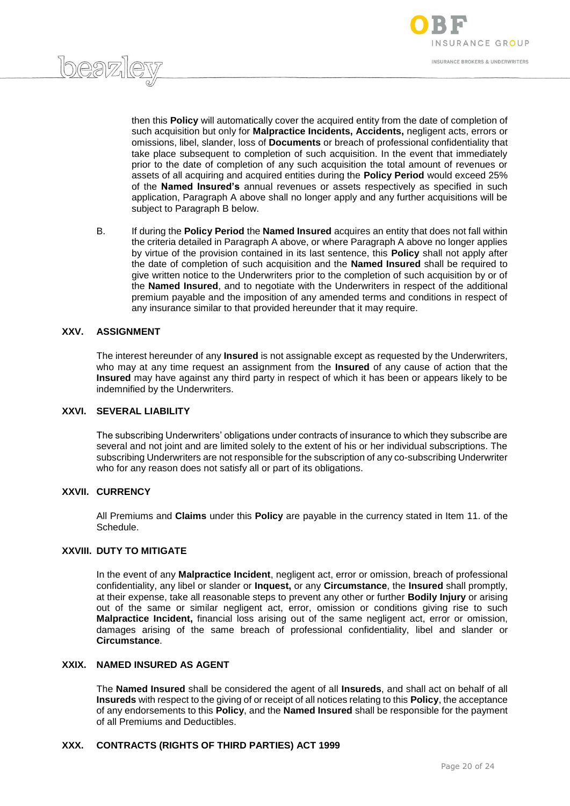

then this **Policy** will automatically cover the acquired entity from the date of completion of such acquisition but only for **Malpractice Incidents, Accidents,** negligent acts, errors or omissions, libel, slander, loss of **Documents** or breach of professional confidentiality that take place subsequent to completion of such acquisition. In the event that immediately prior to the date of completion of any such acquisition the total amount of revenues or assets of all acquiring and acquired entities during the **Policy Period** would exceed 25% of the **Named Insured's** annual revenues or assets respectively as specified in such application, Paragraph A above shall no longer apply and any further acquisitions will be subject to Paragraph B below.

B. If during the **Policy Period** the **Named Insured** acquires an entity that does not fall within the criteria detailed in Paragraph A above, or where Paragraph A above no longer applies by virtue of the provision contained in its last sentence, this **Policy** shall not apply after the date of completion of such acquisition and the **Named Insured** shall be required to give written notice to the Underwriters prior to the completion of such acquisition by or of the **Named Insured**, and to negotiate with the Underwriters in respect of the additional premium payable and the imposition of any amended terms and conditions in respect of any insurance similar to that provided hereunder that it may require.

## **XXV. ASSIGNMENT**

 $h$ eaz

The interest hereunder of any **Insured** is not assignable except as requested by the Underwriters, who may at any time request an assignment from the **Insured** of any cause of action that the **Insured** may have against any third party in respect of which it has been or appears likely to be indemnified by the Underwriters.

#### **XXVI. SEVERAL LIABILITY**

The subscribing Underwriters' obligations under contracts of insurance to which they subscribe are several and not joint and are limited solely to the extent of his or her individual subscriptions. The subscribing Underwriters are not responsible for the subscription of any co-subscribing Underwriter who for any reason does not satisfy all or part of its obligations.

#### **XXVII. CURRENCY**

All Premiums and **Claims** under this **Policy** are payable in the currency stated in Item 11. of the Schedule.

## **XXVIII. DUTY TO MITIGATE**

In the event of any **Malpractice Incident**, negligent act, error or omission, breach of professional confidentiality, any libel or slander or **Inquest,** or any **Circumstance**, the **Insured** shall promptly, at their expense, take all reasonable steps to prevent any other or further **Bodily Injury** or arising out of the same or similar negligent act, error, omission or conditions giving rise to such **Malpractice Incident,** financial loss arising out of the same negligent act, error or omission, damages arising of the same breach of professional confidentiality, libel and slander or **Circumstance**.

## **XXIX. NAMED INSURED AS AGENT**

The **Named Insured** shall be considered the agent of all **Insureds**, and shall act on behalf of all **Insureds** with respect to the giving of or receipt of all notices relating to this **Policy**, the acceptance of any endorsements to this **Policy**, and the **Named Insured** shall be responsible for the payment of all Premiums and Deductibles.

#### **XXX. CONTRACTS (RIGHTS OF THIRD PARTIES) ACT 1999**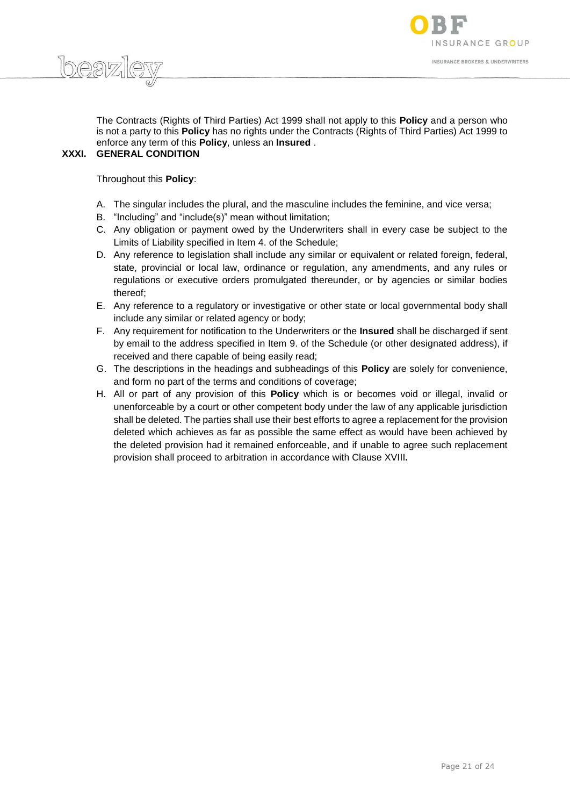



The Contracts (Rights of Third Parties) Act 1999 shall not apply to this **Policy** and a person who is not a party to this **Policy** has no rights under the Contracts (Rights of Third Parties) Act 1999 to enforce any term of this **Policy**, unless an **Insured** .

# **XXXI. GENERAL CONDITION**

Throughout this **Policy**:

- A. The singular includes the plural, and the masculine includes the feminine, and vice versa;
- B. "Including" and "include(s)" mean without limitation;
- C. Any obligation or payment owed by the Underwriters shall in every case be subject to the Limits of Liability specified in Item 4. of the Schedule;
- D. Any reference to legislation shall include any similar or equivalent or related foreign, federal, state, provincial or local law, ordinance or regulation, any amendments, and any rules or regulations or executive orders promulgated thereunder, or by agencies or similar bodies thereof;
- E. Any reference to a regulatory or investigative or other state or local governmental body shall include any similar or related agency or body;
- F. Any requirement for notification to the Underwriters or the **Insured** shall be discharged if sent by email to the address specified in Item 9. of the Schedule (or other designated address), if received and there capable of being easily read;
- G. The descriptions in the headings and subheadings of this **Policy** are solely for convenience, and form no part of the terms and conditions of coverage;
- H. All or part of any provision of this **Policy** which is or becomes void or illegal, invalid or unenforceable by a court or other competent body under the law of any applicable jurisdiction shall be deleted. The parties shall use their best efforts to agree a replacement for the provision deleted which achieves as far as possible the same effect as would have been achieved by the deleted provision had it remained enforceable, and if unable to agree such replacement provision shall proceed to arbitration in accordance with Clause XVIII**.**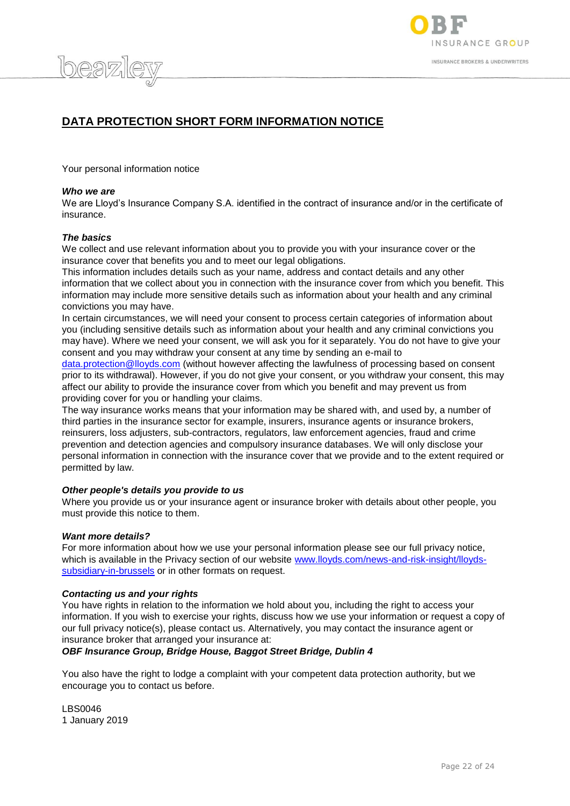

# **DATA PROTECTION SHORT FORM INFORMATION NOTICE**

Your personal information notice

#### *Who we are*

beazi

We are Lloyd's Insurance Company S.A. identified in the contract of insurance and/or in the certificate of insurance.

#### *The basics*

We collect and use relevant information about you to provide you with your insurance cover or the insurance cover that benefits you and to meet our legal obligations.

This information includes details such as your name, address and contact details and any other information that we collect about you in connection with the insurance cover from which you benefit. This information may include more sensitive details such as information about your health and any criminal convictions you may have.

In certain circumstances, we will need your consent to process certain categories of information about you (including sensitive details such as information about your health and any criminal convictions you may have). Where we need your consent, we will ask you for it separately. You do not have to give your consent and you may withdraw your consent at any time by sending an e-mail to

[data.protection@lloyds.com](mailto:data.protection@lloyds.com) (without however affecting the lawfulness of processing based on consent prior to its withdrawal). However, if you do not give your consent, or you withdraw your consent, this may affect our ability to provide the insurance cover from which you benefit and may prevent us from providing cover for you or handling your claims.

The way insurance works means that your information may be shared with, and used by, a number of third parties in the insurance sector for example, insurers, insurance agents or insurance brokers, reinsurers, loss adjusters, sub-contractors, regulators, law enforcement agencies, fraud and crime prevention and detection agencies and compulsory insurance databases. We will only disclose your personal information in connection with the insurance cover that we provide and to the extent required or permitted by law.

#### *Other people's details you provide to us*

Where you provide us or your insurance agent or insurance broker with details about other people, you must provide this notice to them.

#### *Want more details?*

For more information about how we use your personal information please see our full privacy notice, which is available in the Privacy section of our website [www.lloyds.com/news-and-risk-insight/lloyds](http://www.lloyds.com/news-and-risk-insight/lloyds-subsidiary-in-brussels)[subsidiary-in-brussels](http://www.lloyds.com/news-and-risk-insight/lloyds-subsidiary-in-brussels) or in other formats on request.

#### *Contacting us and your rights*

You have rights in relation to the information we hold about you, including the right to access your information. If you wish to exercise your rights, discuss how we use your information or request a copy of our full privacy notice(s), please contact us. Alternatively, you may contact the insurance agent or insurance broker that arranged your insurance at:

## *OBF Insurance Group, Bridge House, Baggot Street Bridge, Dublin 4*

You also have the right to lodge a complaint with your competent data protection authority, but we encourage you to contact us before.

LBS0046 1 January 2019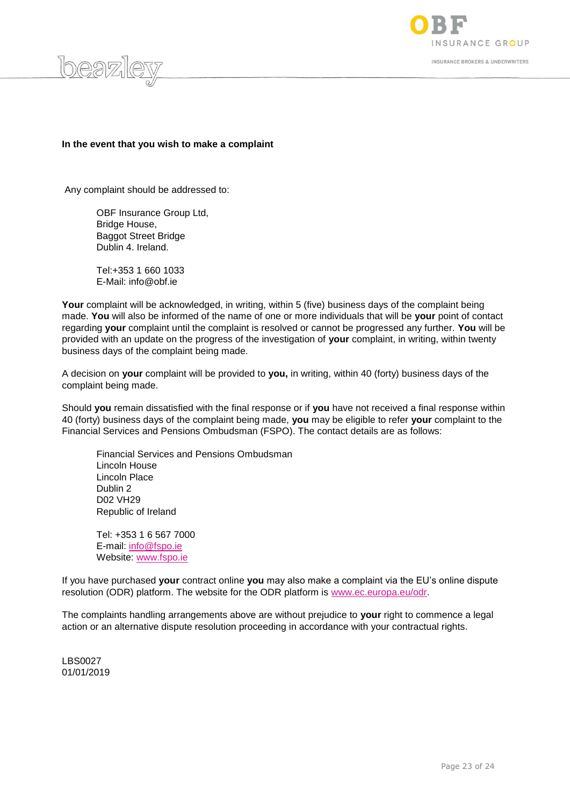

SURANCE GROUP **INSURANCE BROKERS & UNDERWRITERS** 

## **In the event that you wish to make a complaint**

Any complaint should be addressed to:

 OBF Insurance Group Ltd, Bridge House, Baggot Street Bridge Dublin 4. Ireland.

Tel:+353 1 660 1033 E-Mail: [info@obf.ie](mailto:info@obf.ie)

Your complaint will be acknowledged, in writing, within 5 (five) business days of the complaint being made. **You** will also be informed of the name of one or more individuals that will be **your** point of contact regarding **your** complaint until the complaint is resolved or cannot be progressed any further. **You** will be provided with an update on the progress of the investigation of **your** complaint, in writing, within twenty business days of the complaint being made.

A decision on **your** complaint will be provided to **you,** in writing, within 40 (forty) business days of the complaint being made.

Should **you** remain dissatisfied with the final response or if **you** have not received a final response within 40 (forty) business days of the complaint being made, **you** may be eligible to refer **your** complaint to the Financial Services and Pensions Ombudsman (FSPO). The contact details are as follows:

Financial Services and Pensions Ombudsman Lincoln House Lincoln Place Dublin 2 D02 VH29 Republic of Ireland

Tel: +353 1 6 567 7000 E-mail: [info@fspo.ie](mailto:info@fspo.ie) Website: [www.fspo.ie](http://www.fspo.ie/)

If you have purchased **your** contract online **you** may also make a complaint via the EU's online dispute resolution (ODR) platform. The website for the ODR platform is [www.ec.europa.eu/odr.](http://www.ec.europa.eu/odr)

The complaints handling arrangements above are without prejudice to **your** right to commence a legal action or an alternative dispute resolution proceeding in accordance with your contractual rights.

LBS0027 01/01/2019